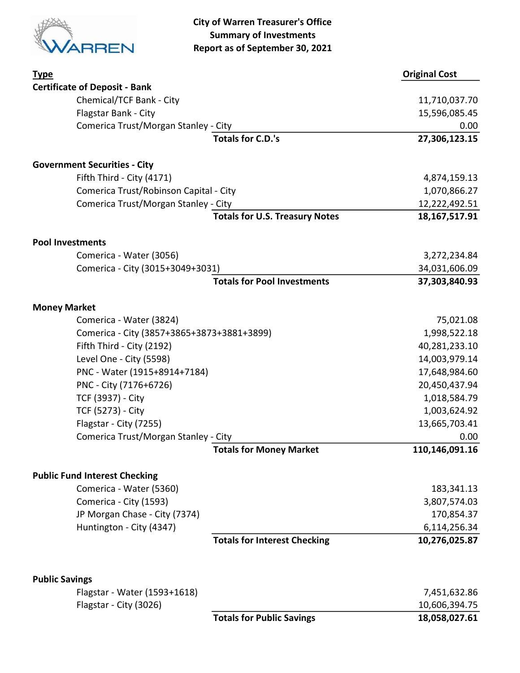

| <b>Type</b>                                           |                                       | <b>Original Cost</b> |
|-------------------------------------------------------|---------------------------------------|----------------------|
| <b>Certificate of Deposit - Bank</b>                  |                                       |                      |
| Chemical/TCF Bank - City                              |                                       | 11,710,037.70        |
| Flagstar Bank - City                                  |                                       | 15,596,085.45        |
| Comerica Trust/Morgan Stanley - City                  |                                       | 0.00                 |
|                                                       | <b>Totals for C.D.'s</b>              | 27,306,123.15        |
| <b>Government Securities - City</b>                   |                                       |                      |
| Fifth Third - City (4171)                             |                                       | 4,874,159.13         |
| Comerica Trust/Robinson Capital - City                |                                       | 1,070,866.27         |
| Comerica Trust/Morgan Stanley - City                  |                                       | 12,222,492.51        |
|                                                       | <b>Totals for U.S. Treasury Notes</b> | 18, 167, 517. 91     |
| <b>Pool Investments</b>                               |                                       |                      |
| Comerica - Water (3056)                               |                                       | 3,272,234.84         |
| Comerica - City (3015+3049+3031)                      |                                       | 34,031,606.09        |
|                                                       | <b>Totals for Pool Investments</b>    | 37,303,840.93        |
| <b>Money Market</b>                                   |                                       |                      |
| Comerica - Water (3824)                               |                                       | 75,021.08            |
| Comerica - City (3857+3865+3873+3881+3899)            |                                       | 1,998,522.18         |
| Fifth Third - City (2192)                             |                                       | 40,281,233.10        |
| Level One - City (5598)                               |                                       | 14,003,979.14        |
| PNC - Water (1915+8914+7184)                          |                                       | 17,648,984.60        |
| PNC - City (7176+6726)                                |                                       | 20,450,437.94        |
| TCF (3937) - City                                     |                                       | 1,018,584.79         |
| TCF (5273) - City                                     |                                       | 1,003,624.92         |
| Flagstar - City (7255)                                |                                       | 13,665,703.41        |
| Comerica Trust/Morgan Stanley - City                  |                                       | 0.00                 |
|                                                       | <b>Totals for Money Market</b>        | 110,146,091.16       |
| <b>Public Fund Interest Checking</b>                  |                                       |                      |
| Comerica - Water (5360)                               |                                       | 183,341.13           |
| Comerica - City (1593)                                |                                       | 3,807,574.03         |
| JP Morgan Chase - City (7374)                         |                                       | 170,854.37           |
| Huntington - City (4347)                              |                                       | 6,114,256.34         |
|                                                       | <b>Totals for Interest Checking</b>   | 10,276,025.87        |
|                                                       |                                       |                      |
| <b>Public Savings</b><br>Flagstar - Water (1593+1618) |                                       | 7,451,632.86         |
| Flagstar - City (3026)                                |                                       | 10,606,394.75        |
|                                                       | <b>Totals for Public Savings</b>      | 18,058,027.61        |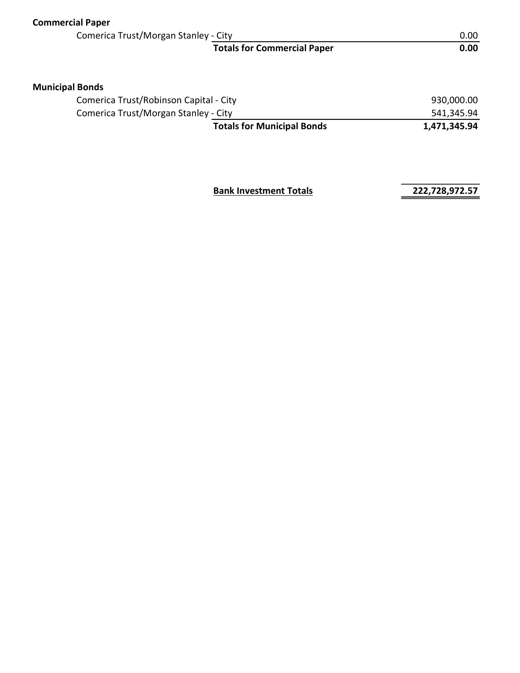| <b>Commercial Paper</b>                |                                    |              |
|----------------------------------------|------------------------------------|--------------|
| Comerica Trust/Morgan Stanley - City   |                                    | 0.00         |
|                                        | <b>Totals for Commercial Paper</b> | 0.00         |
| <b>Municipal Bonds</b>                 |                                    |              |
| Comerica Trust/Robinson Capital - City |                                    | 930,000.00   |
| Comerica Trust/Morgan Stanley - City   |                                    | 541,345.94   |
|                                        | <b>Totals for Municipal Bonds</b>  | 1,471,345.94 |
|                                        |                                    |              |
|                                        |                                    |              |

**Bank Investment Totals 222,728,972.57**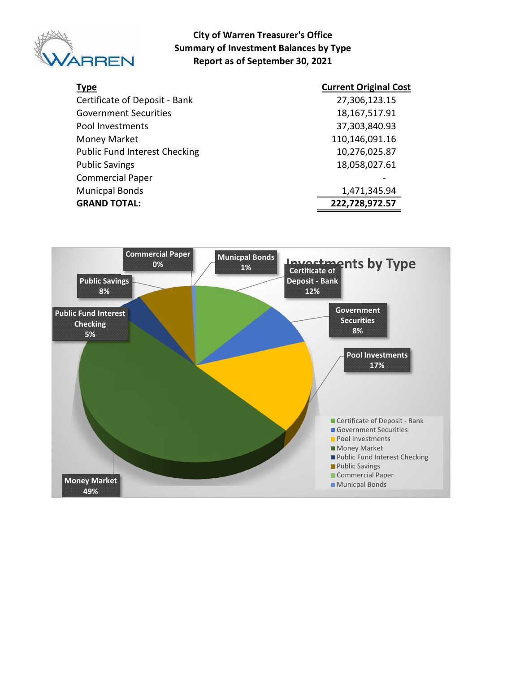

#### City of Warren Treasurer's Office Summary of Investment Balances by Type Report as of September 30, 2021

| <b>Type</b>                          | <b>Current Original Cost</b> |
|--------------------------------------|------------------------------|
| Certificate of Deposit - Bank        | 27,306,123.15                |
| <b>Government Securities</b>         | 18, 167, 517. 91             |
| Pool Investments                     | 37,303,840.93                |
| Money Market                         | 110,146,091.16               |
| <b>Public Fund Interest Checking</b> | 10,276,025.87                |
| <b>Public Savings</b>                | 18,058,027.61                |
| <b>Commercial Paper</b>              |                              |
| <b>Municpal Bonds</b>                | 1,471,345.94                 |
| <b>GRAND TOTAL:</b>                  | 222,728,972.57               |

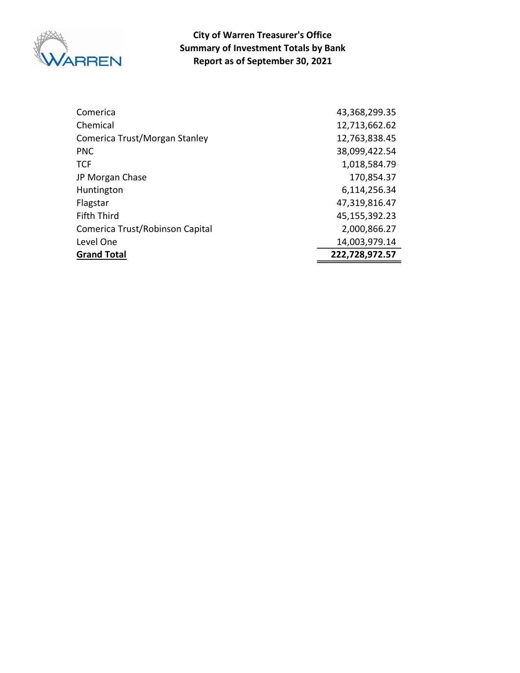

Report as of September 30, 2021 City of Warren Treasurer's Office Summary of Investment Totals by Bank

| Comerica                        | 43,368,299.35  |
|---------------------------------|----------------|
| Chemical                        | 12,713,662.62  |
| Comerica Trust/Morgan Stanley   | 12,763,838.45  |
| <b>PNC</b>                      | 38,099,422.54  |
| <b>TCF</b>                      | 1,018,584.79   |
| JP Morgan Chase                 | 170,854.37     |
| Huntington                      | 6,114,256.34   |
| Flagstar                        | 47,319,816.47  |
| <b>Fifth Third</b>              | 45,155,392.23  |
| Comerica Trust/Robinson Capital | 2,000,866.27   |
| Level One                       | 14,003,979.14  |
| <b>Grand Total</b>              | 222,728,972.57 |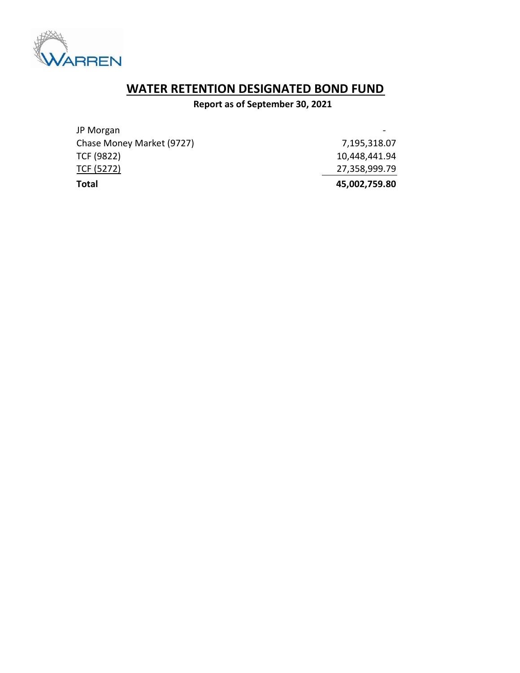

# WATER RETENTION DESIGNATED BOND FUND

### Report as of September 30, 2021

| Total                     | 45,002,759.80 |
|---------------------------|---------------|
| TCF (5272)                | 27,358,999.79 |
| TCF (9822)                | 10,448,441.94 |
| Chase Money Market (9727) | 7,195,318.07  |
| JP Morgan                 |               |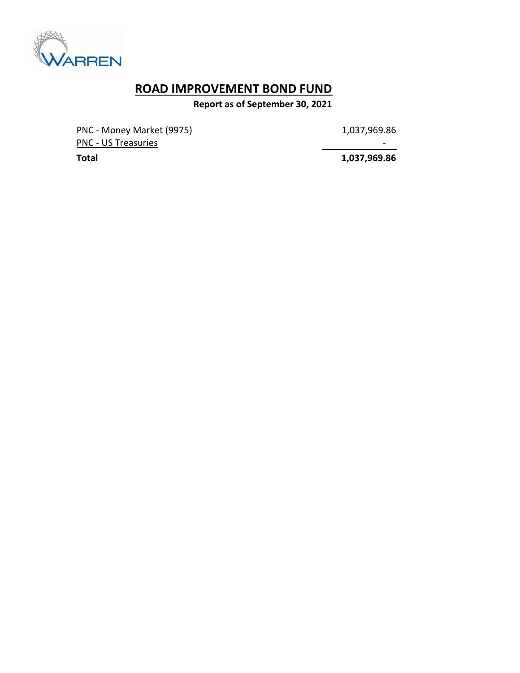

## ROAD IMPROVEMENT BOND FUND

Report as of September 30, 2021

PNC - Money Market (9975) 1,037,969.86 PNC - US Treasuries - Andreasuries - Andreasuries - Andreasuries - Andreasuries - Andreasuries - Andreasuries

Total 1,037,969.86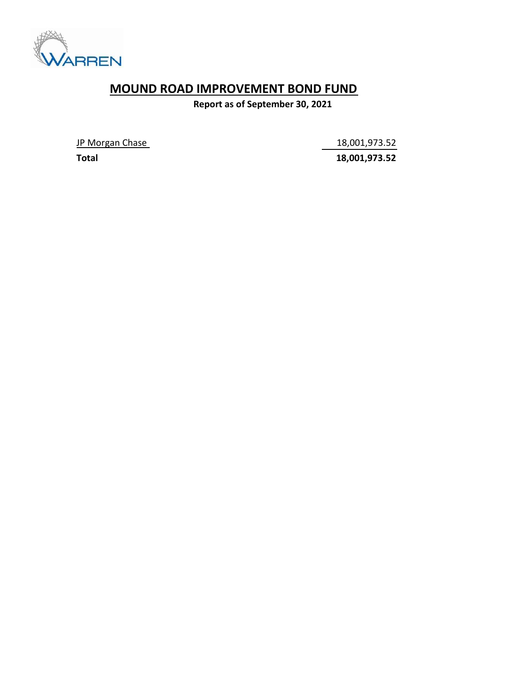

## MOUND ROAD IMPROVEMENT BOND FUND

Report as of September 30, 2021

JP Morgan Chase 18,001,973.52

Total 18,001,973.52